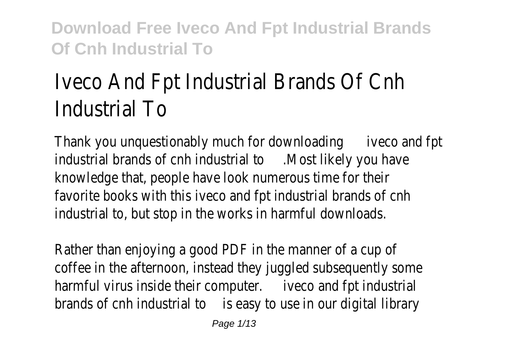# Iveco And Fpt Industrial Brands Of Cnh Industrial To

Thank you unquestionably much for downloadinige co and fpt industrial brands of cnh industrial to lost likely you have knowledge that, people have look numerous time for their favorite books with this iveco and fpt industrial brands of cnh industrial to, but stop in the works in harmful downloads.

Rather than enjoying a good PDF in the manner of a cup of coffee in the afternoon, instead they juggled subsequently some harmful virus inside their computer weco and fpt industrial brands of cnh industrial to easy to use in our digital library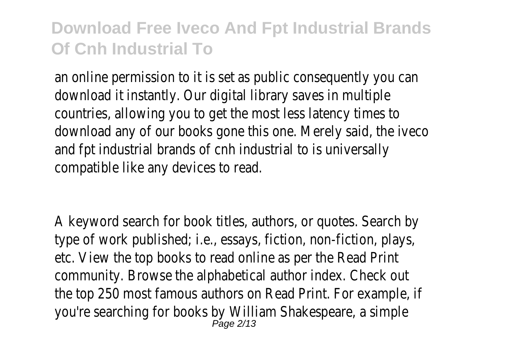an online permission to it is set as public consequently you can download it instantly. Our digital library saves in multiple countries, allowing you to get the most less latency times to download any of our books gone this one. Merely said, the iveco and fpt industrial brands of cnh industrial to is universally compatible like any devices to read.

A keyword search for book titles, authors, or quotes. Search by type of work published; i.e., essays, fiction, non-fiction, plays, etc. View the top books to read online as per the Read Print community. Browse the alphabetical author index. Check out the top 250 most famous authors on Read Print. For example, if you're searching for books by William Shakespeare, a simple<br>Page 2/13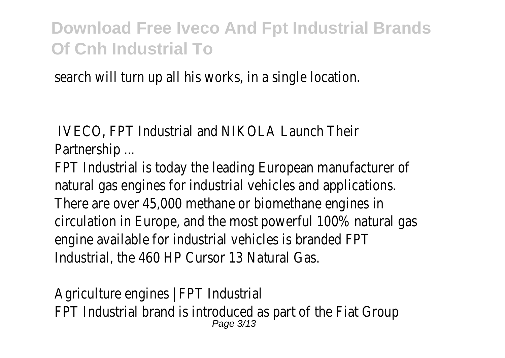search will turn up all his works, in a single location.

IVECO, FPT Industrial and NIKOLA Launch Their Partnership ...

FPT Industrial is today the leading European manufacturer of natural gas engines for industrial vehicles and applications. There are over 45,000 methane or biomethane engines in circulation in Europe, and the most powerful 100% natural gas engine available for industrial vehicles is branded FPT Industrial, the 460 HP Cursor 13 Natural Gas.

Agriculture engines | FPT Industrial FPT Industrial brand is introduced as part of the Fiat Group Page 3/13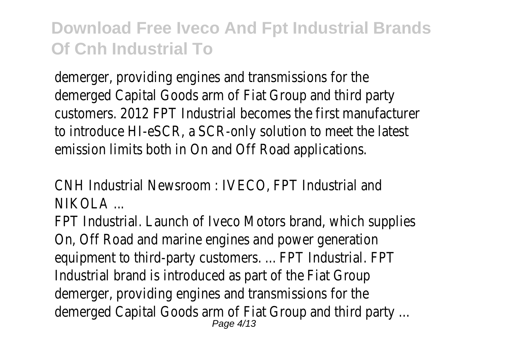demerger, providing engines and transmissions for the demerged Capital Goods arm of Fiat Group and third party customers. 2012 FPT Industrial becomes the first manufacturer to introduce HI-eSCR, a SCR-only solution to meet the latest emission limits both in On and Off Road applications.

CNH Industrial Newsroom : IVECO, FPT Industrial and  $N$ IKOLA  $\sim$ 

FPT Industrial. Launch of Iveco Motors brand, which supplies On, Off Road and marine engines and power generation equipment to third-party customers. ... FPT Industrial. FPT Industrial brand is introduced as part of the Fiat Group demerger, providing engines and transmissions for the demerged Capital Goods arm of Fiat Group and third party ... Page 4/13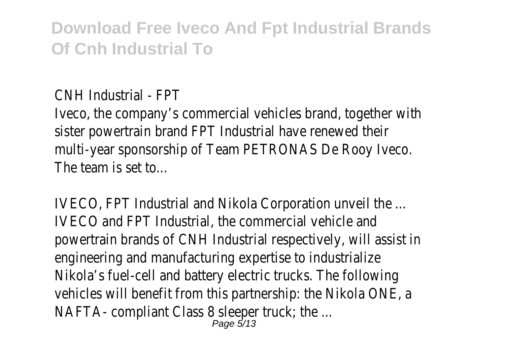CNH Industrial - FPT

Iveco, the company's commercial vehicles brand, together with sister powertrain brand FPT Industrial have renewed their multi-year sponsorship of Team PETRONAS De Rooy Iveco. The team is set to...

IVECO, FPT Industrial and Nikola Corporation unveil the ... IVECO and FPT Industrial, the commercial vehicle and powertrain brands of CNH Industrial respectively, will assist in engineering and manufacturing expertise to industrialize Nikola's fuel-cell and battery electric trucks. The following vehicles will benefit from this partnership: the Nikola ONE, a NAFTA- compliant Class 8 sleeper truck; the ... Page 5/13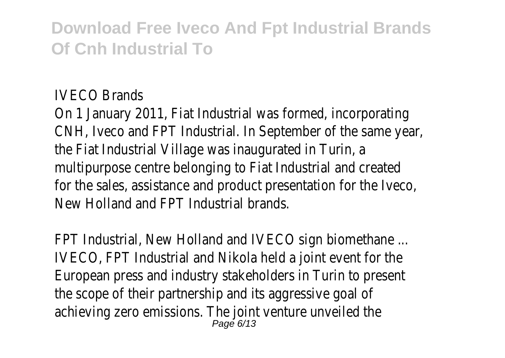#### IVECO Brands

On 1 January 2011, Fiat Industrial was formed, incorporating CNH, Iveco and FPT Industrial. In September of the same year, the Fiat Industrial Village was inaugurated in Turin, a multipurpose centre belonging to Fiat Industrial and created for the sales, assistance and product presentation for the Iveco, New Holland and FPT Industrial brands.

FPT Industrial, New Holland and IVECO sign biomethane ... IVECO, FPT Industrial and Nikola held a joint event for the European press and industry stakeholders in Turin to present the scope of their partnership and its aggressive goal of achieving zero emissions. The joint venture unveiled the Page 6/13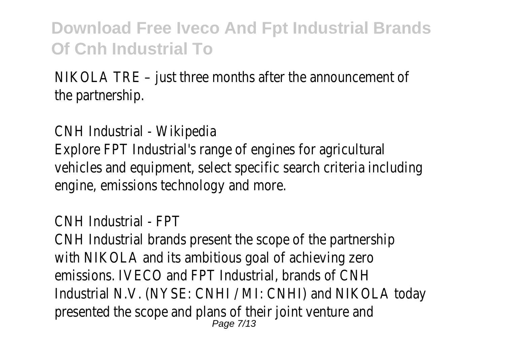NIKOLA TRE – just three months after the announcement of the partnership.

CNH Industrial - Wikipedia

Explore FPT Industrial's range of engines for agricultural vehicles and equipment, select specific search criteria including engine, emissions technology and more.

CNH Industrial - FPT

CNH Industrial brands present the scope of the partnership with NIKOLA and its ambitious goal of achieving zero emissions. IVECO and FPT Industrial, brands of CNH Industrial N.V. (NYSE: CNHI / MI: CNHI) and NIKOLA today presented the scope and plans of their joint venture and Page 7/13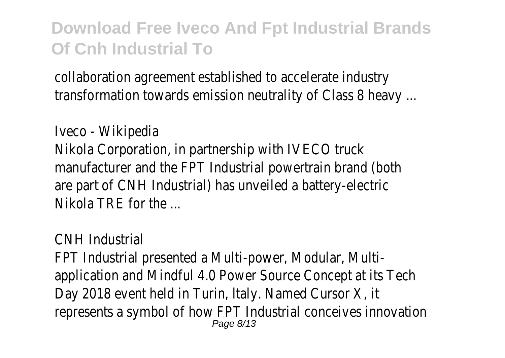collaboration agreement established to accelerate industry transformation towards emission neutrality of Class 8 heavy ...

Iveco - Wikipedia Nikola Corporation, in partnership with IVECO truck manufacturer and the FPT Industrial powertrain brand (both are part of CNH Industrial) has unveiled a battery-electric Nikola TRE for the ...

#### CNH Industrial

FPT Industrial presented a Multi-power, Modular, Multiapplication and Mindful 4.0 Power Source Concept at its Tech Day 2018 event held in Turin, ltaly. Named Cursor X, it represents a symbol of how FPT Industrial conceives innovation Page 8/13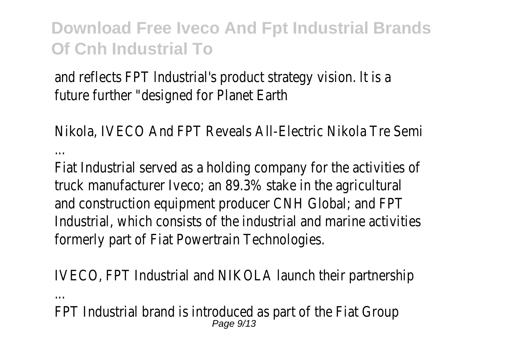and reflects FPT lndustrial's product strategy vision. lt is a future further "designed for Planet Earth

Nikola, IVECO And FPT Reveals All-Electric Nikola Tre Semi ...

Fiat Industrial served as a holding company for the activities of truck manufacturer Iveco; an 89.3% stake in the agricultural and construction equipment producer CNH Global; and FPT Industrial, which consists of the industrial and marine activities formerly part of Fiat Powertrain Technologies.

IVECO, FPT Industrial and NIKOLA launch their partnership

...

FPT Industrial brand is introduced as part of the Fiat Group Page  $9/13$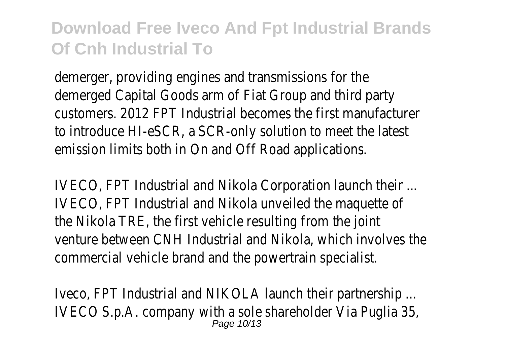demerger, providing engines and transmissions for the demerged Capital Goods arm of Fiat Group and third party customers. 2012 FPT Industrial becomes the first manufacturer to introduce HI-eSCR, a SCR-only solution to meet the latest emission limits both in On and Off Road applications.

IVECO, FPT Industrial and Nikola Corporation launch their ... IVECO, FPT Industrial and Nikola unveiled the maquette of the Nikola TRE, the first vehicle resulting from the joint venture between CNH Industrial and Nikola, which involves the commercial vehicle brand and the powertrain specialist.

Iveco, FPT Industrial and NIKOLA launch their partnership ... IVECO S.p.A. company with a sole shareholder Via Puglia 35, Page 10/13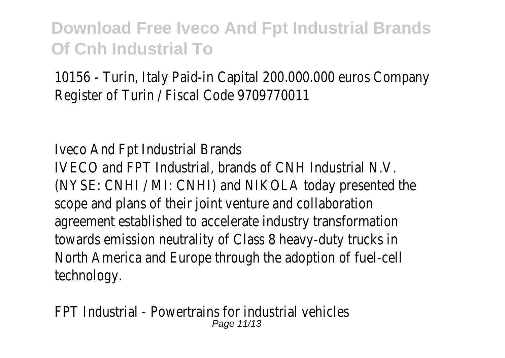10156 - Turin, Italy Paid-in Capital 200.000.000 euros Company Register of Turin / Fiscal Code 9709770011

Iveco And Fpt Industrial Brands

IVECO and FPT Industrial, brands of CNH Industrial N.V. (NYSE: CNHI / MI: CNHI) and NIKOLA today presented the scope and plans of their joint venture and collaboration agreement established to accelerate industry transformation towards emission neutrality of Class 8 heavy-duty trucks in North America and Europe through the adoption of fuel-cell technology.

FPT Industrial - Powertrains for industrial vehicles Page 11/13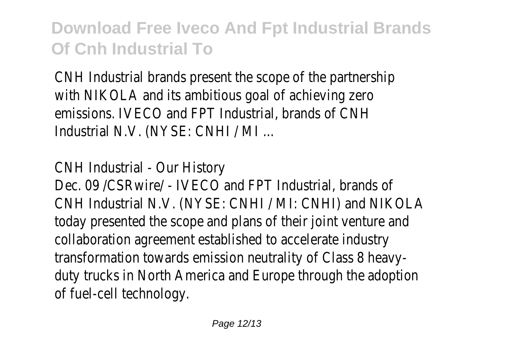CNH Industrial brands present the scope of the partnership with NIKOLA and its ambitious goal of achieving zero emissions. IVECO and FPT Industrial, brands of CNH Industrial N.V. (NYSE: CNHI / MI ...

CNH Industrial - Our History

Dec. 09 /CSRwire/ - IVECO and FPT Industrial, brands of CNH Industrial N.V. (NYSE: CNHI / MI: CNHI) and NIKOLA today presented the scope and plans of their joint venture and collaboration agreement established to accelerate industry transformation towards emission neutrality of Class 8 heavyduty trucks in North America and Europe through the adoption of fuel-cell technology.